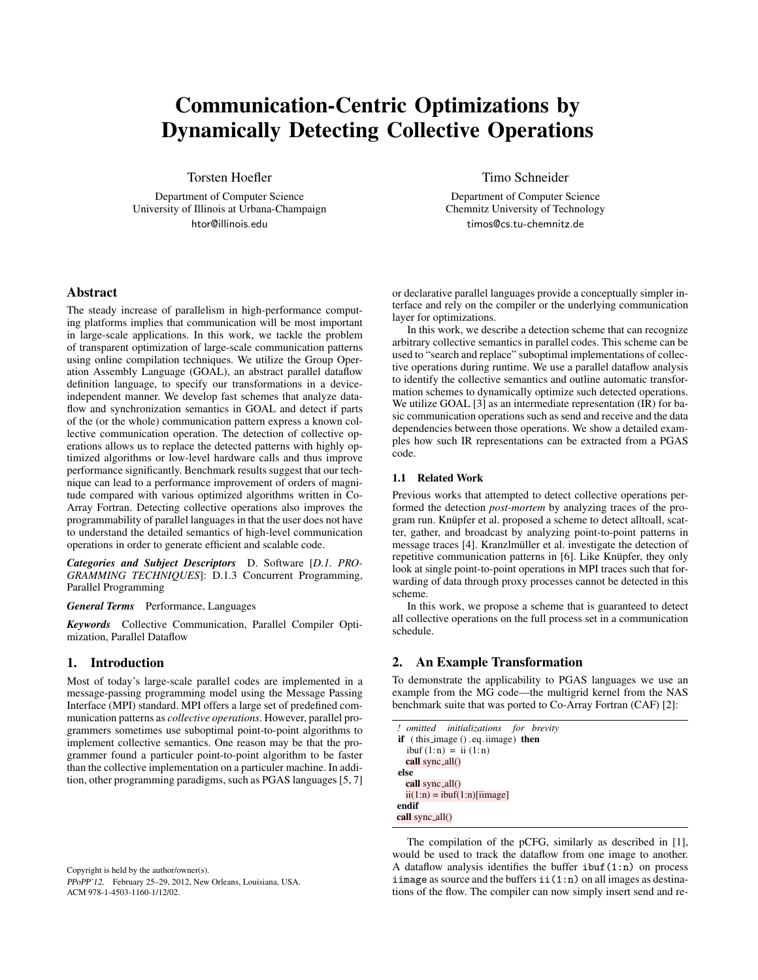# Communication-Centric Optimizations by Dynamically Detecting Collective Operations

Torsten Hoefler

Department of Computer Science University of Illinois at Urbana-Champaign htor@illinois.edu

## Abstract

The steady increase of parallelism in high-performance computing platforms implies that communication will be most important in large-scale applications. In this work, we tackle the problem of transparent optimization of large-scale communication patterns using online compilation techniques. We utilize the Group Operation Assembly Language (GOAL), an abstract parallel dataflow definition language, to specify our transformations in a deviceindependent manner. We develop fast schemes that analyze dataflow and synchronization semantics in GOAL and detect if parts of the (or the whole) communication pattern express a known collective communication operation. The detection of collective operations allows us to replace the detected patterns with highly optimized algorithms or low-level hardware calls and thus improve performance significantly. Benchmark results suggest that our technique can lead to a performance improvement of orders of magnitude compared with various optimized algorithms written in Co-Array Fortran. Detecting collective operations also improves the programmability of parallel languages in that the user does not have to understand the detailed semantics of high-level communication operations in order to generate efficient and scalable code.

*Categories and Subject Descriptors* D. Software [*D.1. PRO-GRAMMING TECHNIQUES*]: D.1.3 Concurrent Programming, Parallel Programming

#### *General Terms* Performance, Languages

*Keywords* Collective Communication, Parallel Compiler Optimization, Parallel Dataflow

## 1. Introduction

Most of today's large-scale parallel codes are implemented in a message-passing programming model using the Message Passing Interface (MPI) standard. MPI offers a large set of predefined communication patterns as *collective operations*. However, parallel programmers sometimes use suboptimal point-to-point algorithms to implement collective semantics. One reason may be that the programmer found a particuler point-to-point algorithm to be faster than the collective implementation on a particuler machine. In addition, other programming paradigms, such as PGAS languages [5, 7]

Copyright is held by the author/owner(s). PPoPP'12, February 25–29, 2012, New Orleans, Louisiana, USA. ACM 978-1-4503-1160-1/12/02.

Timo Schneider

Department of Computer Science Chemnitz University of Technology timos@cs.tu-chemnitz.de

or declarative parallel languages provide a conceptually simpler interface and rely on the compiler or the underlying communication layer for optimizations.

In this work, we describe a detection scheme that can recognize arbitrary collective semantics in parallel codes. This scheme can be used to "search and replace" suboptimal implementations of collective operations during runtime. We use a parallel dataflow analysis to identify the collective semantics and outline automatic transformation schemes to dynamically optimize such detected operations. We utilize GOAL [3] as an intermediate representation (IR) for basic communication operations such as send and receive and the data dependencies between those operations. We show a detailed examples how such IR representations can be extracted from a PGAS code.

## 1.1 Related Work

Previous works that attempted to detect collective operations performed the detection *post-mortem* by analyzing traces of the program run. Knüpfer et al. proposed a scheme to detect alltoall, scatter, gather, and broadcast by analyzing point-to-point patterns in message traces [4]. Kranzlmüller et al. investigate the detection of repetitive communication patterns in [6]. Like Knüpfer, they only look at single point-to-point operations in MPI traces such that forwarding of data through proxy processes cannot be detected in this scheme.

In this work, we propose a scheme that is guaranteed to detect all collective operations on the full process set in a communication schedule.

## 2. An Example Transformation

To demonstrate the applicability to PGAS languages we use an example from the MG code—the multigrid kernel from the NAS benchmark suite that was ported to Co-Array Fortran (CAF) [2]:

```
! omitted initializations for brevity
if (this image () .eq.iimage) then
  ibuf(1:n) = ii(1:n)call sync_all()
else
  call sync_all()
  ii(1:n) = ibuf(1:n)[iimage]endif
call sync_all()
```
The compilation of the pCFG, similarly as described in [1], would be used to track the dataflow from one image to another. A dataflow analysis identifies the buffer  $i$ buf $(i:n)$  on process iimage as source and the buffers  $\text{ii}(1:n)$  on all images as destinations of the flow. The compiler can now simply insert send and re